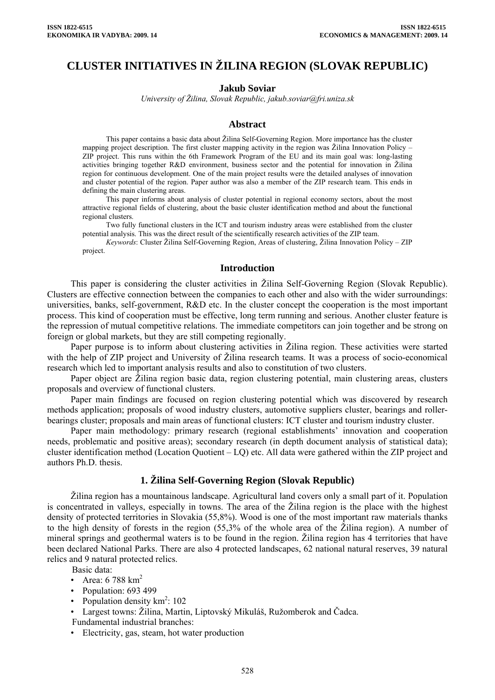# **CLUSTER INITIATIVES IN ŽILINA REGION (SLOVAK REPUBLIC)**

#### **Jakub Soviar**

*University of Žilina, Slovak Republic, jakub.soviar@fri.uniza.sk* 

#### **Abstract**

This paper contains a basic data about Žilina Self-Governing Region. More importance has the cluster mapping project description. The first cluster mapping activity in the region was Žilina Innovation Policy – ZIP project. This runs within the 6th Framework Program of the EU and its main goal was: long-lasting activities bringing together R&D environment, business sector and the potential for innovation in Žilina region for continuous development. One of the main project results were the detailed analyses of innovation and cluster potential of the region. Paper author was also a member of the ZIP research team. This ends in defining the main clustering areas.

This paper informs about analysis of cluster potential in regional economy sectors, about the most attractive regional fields of clustering, about the basic cluster identification method and about the functional regional clusters.

Two fully functional clusters in the ICT and tourism industry areas were established from the cluster potential analysis. This was the direct result of the scientifically research activities of the ZIP team.

*Keywords*: Cluster Žilina Self-Governing Region, Areas of clustering, Žilina Innovation Policy – ZIP project.

#### **Introduction**

This paper is considering the cluster activities in Žilina Self-Governing Region (Slovak Republic). Clusters are effective connection between the companies to each other and also with the wider surroundings: universities, banks, self-government, R&D etc. In the cluster concept the cooperation is the most important process. This kind of cooperation must be effective, long term running and serious. Another cluster feature is the repression of mutual competitive relations. The immediate competitors can join together and be strong on foreign or global markets, but they are still competing regionally.

Paper purpose is to inform about clustering activities in Žilina region. These activities were started with the help of ZIP project and University of Žilina research teams. It was a process of socio-economical research which led to important analysis results and also to constitution of two clusters.

Paper object are Žilina region basic data, region clustering potential, main clustering areas, clusters proposals and overview of functional clusters.

Paper main findings are focused on region clustering potential which was discovered by research methods application; proposals of wood industry clusters, automotive suppliers cluster, bearings and rollerbearings cluster; proposals and main areas of functional clusters: ICT cluster and tourism industry cluster.

Paper main methodology: primary research (regional establishments' innovation and cooperation needs, problematic and positive areas); secondary research (in depth document analysis of statistical data); cluster identification method (Location Quotient – LQ) etc. All data were gathered within the ZIP project and authors Ph.D. thesis.

### **1. Žilina Self-Governing Region (Slovak Republic)**

Žilina region has a mountainous landscape. Agricultural land covers only a small part of it. Population is concentrated in valleys, especially in towns. The area of the Žilina region is the place with the highest density of protected territories in Slovakia (55,8%). Wood is one of the most important raw materials thanks to the high density of forests in the region (55,3% of the whole area of the Žilina region). A number of mineral springs and geothermal waters is to be found in the region. Žilina region has 4 territories that have been declared National Parks. There are also 4 protected landscapes, 62 national natural reserves, 39 natural relics and 9 natural protected relics.

Basic data:

- Area:  $6788 \text{ km}^2$
- Population: 693 499
- Population density  $km^2$ : 102

• Largest towns: Žilina, Martin, Liptovský Mikuláš, Ružomberok and Čadca.

- Fundamental industrial branches:
- Electricity, gas, steam, hot water production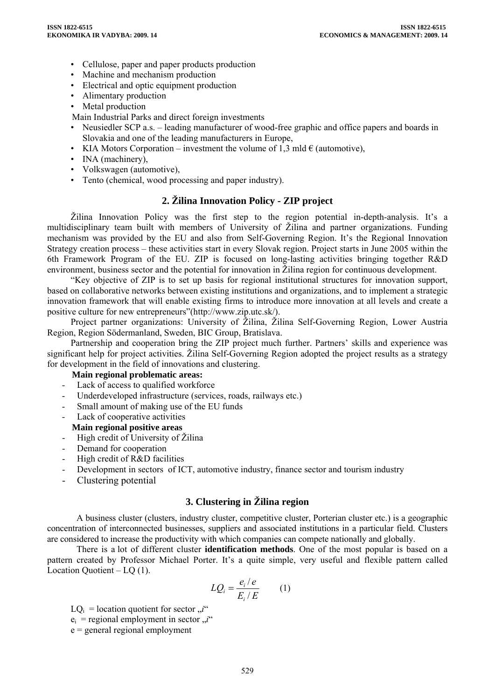- Cellulose, paper and paper products production
- Machine and mechanism production
- Electrical and optic equipment production
- Alimentary production
- Metal production
- Main Industrial Parks and direct foreign investments
- Neusiedler SCP a.s. leading manufacturer of wood-free graphic and office papers and boards in Slovakia and one of the leading manufacturers in Europe,
- KIA Motors Corporation investment the volume of 1,3 mld  $\epsilon$  (automotive),
- INA (machinery),
- Volkswagen (automotive),
- Tento (chemical, wood processing and paper industry).

# **2. Žilina Innovation Policy - ZIP project**

Žilina Innovation Policy was the first step to the region potential in-depth-analysis. It's a multidisciplinary team built with members of University of Žilina and partner organizations. Funding mechanism was provided by the EU and also from Self-Governing Region. It's the Regional Innovation Strategy creation process – these activities start in every Slovak region. Project starts in June 2005 within the 6th Framework Program of the EU. ZIP is focused on long-lasting activities bringing together R&D environment, business sector and the potential for innovation in Žilina region for continuous development.

"Key objective of ZIP is to set up basis for regional institutional structures for innovation support, based on collaborative networks between existing institutions and organizations, and to implement a strategic innovation framework that will enable existing firms to introduce more innovation at all levels and create a positive culture for new entrepreneurs"(http://www.zip.utc.sk/).

Project partner organizations: University of Žilina, Žilina Self-Governing Region, Lower Austria Region, Region Södermanland, Sweden, BIC Group, Bratislava.

Partnership and cooperation bring the ZIP project much further. Partners' skills and experience was significant help for project activities. Žilina Self-Governing Region adopted the project results as a strategy for development in the field of innovations and clustering.

#### **Main regional problematic areas:**

- Lack of access to qualified workforce
- Underdeveloped infrastructure (services, roads, railways etc.)
- Small amount of making use of the EU funds
- Lack of cooperative activities
- **Main regional positive areas**
- High credit of University of Žilina
- Demand for cooperation
- High credit of R&D facilities
- Development in sectors of ICT, automotive industry, finance sector and tourism industry
- Clustering potential

# **3. Clustering in Žilina region**

A business cluster (clusters, industry cluster, competitive cluster, Porterian cluster etc.) is a geographic concentration of interconnected businesses, suppliers and associated institutions in a particular field. Clusters are considered to increase the productivity with which companies can compete nationally and globally.

There is a lot of different cluster **identification methods**. One of the most popular is based on a pattern created by Professor Michael Porter. It's a quite simple, very useful and flexible pattern called Location Quotient – LQ (1).

$$
LQ_i = \frac{e_i/e}{E_i/E} \qquad (1)
$$

 $LO_i$  = location quotient for sector  $\vec{u}$ "

- $e_i$  = regional employment in sector  $n<sup>i</sup>$
- e = general regional employment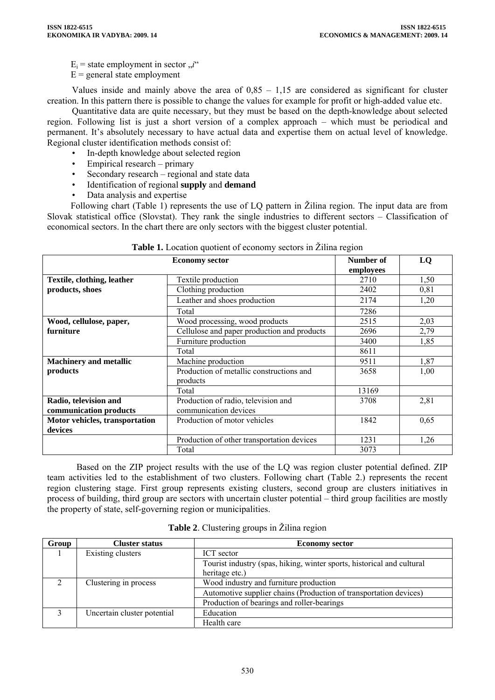$E_i$  = state employment in sector  $\vec{u}$ <sup>"</sup>

 $E =$  general state employment

Values inside and mainly above the area of 0,85 – 1,15 are considered as significant for cluster creation. In this pattern there is possible to change the values for example for profit or high-added value etc.

Quantitative data are quite necessary, but they must be based on the depth-knowledge about selected region. Following list is just a short version of a complex approach – which must be periodical and permanent. It's absolutely necessary to have actual data and expertise them on actual level of knowledge. Regional cluster identification methods consist of:

- In-depth knowledge about selected region
- Empirical research primary
- Secondary research regional and state data
- Identification of regional **supply** and **demand**
- Data analysis and expertise

Following chart (Table 1) represents the use of LQ pattern in Žilina region. The input data are from Slovak statistical office (Slovstat). They rank the single industries to different sectors – Classification of economical sectors. In the chart there are only sectors with the biggest cluster potential.

|                                                 | Number of<br>employees                                       | LQ    |      |
|-------------------------------------------------|--------------------------------------------------------------|-------|------|
| Textile, clothing, leather                      | Textile production                                           | 2710  | 1,50 |
| products, shoes                                 | Clothing production                                          | 2402  | 0,81 |
|                                                 | Leather and shoes production                                 | 2174  | 1,20 |
|                                                 | Total                                                        | 7286  |      |
| Wood, cellulose, paper,                         | Wood processing, wood products                               | 2515  | 2,03 |
| furniture                                       | Cellulose and paper production and products                  | 2696  | 2,79 |
|                                                 | Furniture production                                         | 3400  | 1,85 |
|                                                 | Total                                                        | 8611  |      |
| <b>Machinery and metallic</b>                   | Machine production                                           | 9511  | 1,87 |
| products                                        | Production of metallic constructions and<br>products         | 3658  | 1,00 |
|                                                 | Total                                                        | 13169 |      |
| Radio, television and<br>communication products | Production of radio, television and<br>communication devices | 3708  | 2,81 |
| Motor vehicles, transportation                  | Production of motor vehicles                                 | 1842  | 0,65 |
| devices                                         |                                                              |       |      |
|                                                 | Production of other transportation devices                   | 1231  | 1,26 |
|                                                 | Total                                                        | 3073  |      |

|  |  |  |  | Table 1. Location quotient of economy sectors in Zilina region |  |  |
|--|--|--|--|----------------------------------------------------------------|--|--|
|  |  |  |  |                                                                |  |  |
|  |  |  |  |                                                                |  |  |

Based on the ZIP project results with the use of the LQ was region cluster potential defined. ZIP team activities led to the establishment of two clusters. Following chart (Table 2.) represents the recent region clustering stage. First group represents existing clusters, second group are clusters initiatives in process of building, third group are sectors with uncertain cluster potential – third group facilities are mostly the property of state, self-governing region or municipalities.

| Group    | <b>Cluster status</b>       | <b>Economy sector</b>                                                  |  |  |
|----------|-----------------------------|------------------------------------------------------------------------|--|--|
|          | Existing clusters           | ICT sector                                                             |  |  |
|          |                             | Tourist industry (spas, hiking, winter sports, historical and cultural |  |  |
|          |                             | heritage etc.)                                                         |  |  |
| $\gamma$ | Clustering in process       | Wood industry and furniture production                                 |  |  |
|          |                             | Automotive supplier chains (Production of transportation devices)      |  |  |
|          |                             | Production of bearings and roller-bearings                             |  |  |
|          | Uncertain cluster potential | Education                                                              |  |  |
|          |                             | Health care                                                            |  |  |

**Table 2**. Clustering groups in Žilina region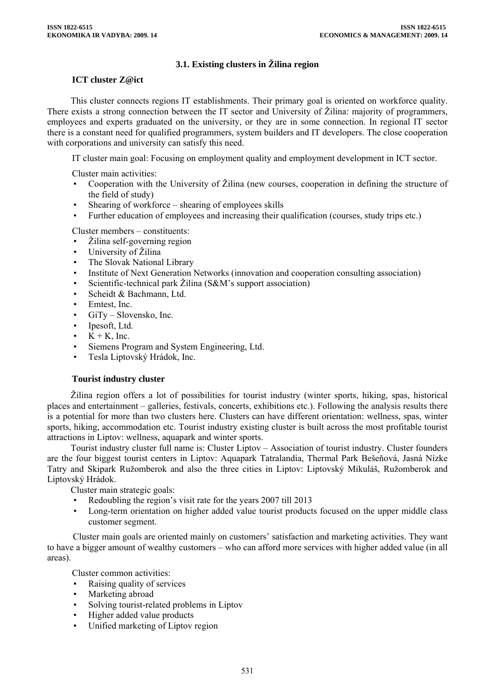### **3.1. Existing clusters in Žilina region**

#### **ICT cluster Z@ict**

This cluster connects regions IT establishments. Their primary goal is oriented on workforce quality. There exists a strong connection between the IT sector and University of Žilina: majority of programmers, employees and experts graduated on the university, or they are in some connection. In regional IT sector there is a constant need for qualified programmers, system builders and IT developers. The close cooperation with corporations and university can satisfy this need.

IT cluster main goal: Focusing on employment quality and employment development in ICT sector.

Cluster main activities:

- Cooperation with the University of Žilina (new courses, cooperation in defining the structure of the field of study)
- Shearing of workforce shearing of employees skills
- Further education of employees and increasing their qualification (courses, study trips etc.)

Cluster members – constituents:

- Žilina self-governing region
- University of Žilina
- The Slovak National Library
- Institute of Next Generation Networks (innovation and cooperation consulting association)
- Scientific-technical park Žilina (S&M's support association)
- Scheidt & Bachmann, Ltd.
- Emtest, Inc.
- GiTy Slovensko, Inc.
- Ipesoft, Ltd.
- $K + K$ . Inc.
- Siemens Program and System Engineering, Ltd.
- Tesla Liptovský Hrádok, Inc.

#### **Tourist industry cluster**

Žilina region offers a lot of possibilities for tourist industry (winter sports, hiking, spas, historical places and entertainment – galleries, festivals, concerts, exhibitions etc.). Following the analysis results there is a potential for more than two clusters here. Clusters can have different orientation: wellness, spas, winter sports, hiking, accommodation etc. Tourist industry existing cluster is built across the most profitable tourist attractions in Liptov: wellness, aquapark and winter sports.

Tourist industry cluster full name is: Cluster Liptov – Association of tourist industry. Cluster founders are the four biggest tourist centers in Liptov: Aquapark Tatralandia, Thermal Park Bešeňová, Jasná Nízke Tatry and Skipark Ružomberok and also the three cities in Liptov: Liptovský Mikuláš, Ružomberok and Liptovský Hrádok.

Cluster main strategic goals:

- Redoubling the region's visit rate for the years 2007 till 2013
- Long-term orientation on higher added value tourist products focused on the upper middle class customer segment.

 Cluster main goals are oriented mainly on customers' satisfaction and marketing activities. They want to have a bigger amount of wealthy customers – who can afford more services with higher added value (in all areas).

Cluster common activities:

- Raising quality of services
- Marketing abroad
- Solving tourist-related problems in Liptov
- Higher added value products
- Unified marketing of Liptov region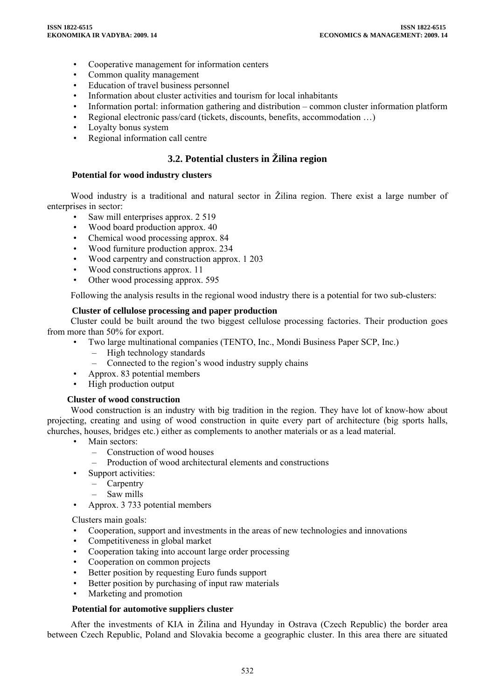- Cooperative management for information centers
- Common quality management
- Education of travel business personnel
- Information about cluster activities and tourism for local inhabitants
- Information portal: information gathering and distribution common cluster information platform
- Regional electronic pass/card (tickets, discounts, benefits, accommodation …)
- Loyalty bonus system
- Regional information call centre

# **3.2. Potential clusters in Žilina region**

#### **Potential for wood industry clusters**

Wood industry is a traditional and natural sector in Žilina region. There exist a large number of enterprises in sector:

- Saw mill enterprises approx. 2 519
- Wood board production approx. 40
- Chemical wood processing approx. 84
- Wood furniture production approx. 234
- Wood carpentry and construction approx. 1 203
- Wood constructions approx. 11
- Other wood processing approx. 595

Following the analysis results in the regional wood industry there is a potential for two sub-clusters:

#### **Cluster of cellulose processing and paper production**

Cluster could be built around the two biggest cellulose processing factories. Their production goes from more than 50% for export.

- Two large multinational companies (TENTO, Inc., Mondi Business Paper SCP, Inc.)
	- High technology standards
	- Connected to the region's wood industry supply chains
- Approx. 83 potential members
- High production output

# **Cluster of wood construction**

Wood construction is an industry with big tradition in the region. They have lot of know-how about projecting, creating and using of wood construction in quite every part of architecture (big sports halls, churches, houses, bridges etc.) either as complements to another materials or as a lead material.

- Main sectors:
	- Construction of wood houses
	- Production of wood architectural elements and constructions
- Support activities:
	- Carpentry
	- Saw mills
- Approx. 3 733 potential members

Clusters main goals:

- Cooperation, support and investments in the areas of new technologies and innovations
- Competitiveness in global market
- Cooperation taking into account large order processing
- Cooperation on common projects
- Better position by requesting Euro funds support
- Better position by purchasing of input raw materials
- Marketing and promotion

#### **Potential for automotive suppliers cluster**

After the investments of KIA in Žilina and Hyunday in Ostrava (Czech Republic) the border area between Czech Republic, Poland and Slovakia become a geographic cluster. In this area there are situated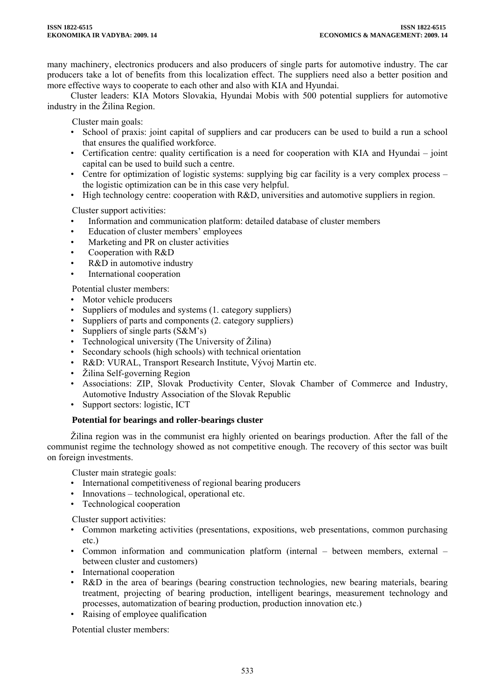many machinery, electronics producers and also producers of single parts for automotive industry. The car producers take a lot of benefits from this localization effect. The suppliers need also a better position and more effective ways to cooperate to each other and also with KIA and Hyundai.

Cluster leaders: KIA Motors Slovakia, Hyundai Mobis with 500 potential suppliers for automotive industry in the Žilina Region.

Cluster main goals:

- School of praxis: joint capital of suppliers and car producers can be used to build a run a school that ensures the qualified workforce.
- Certification centre: quality certification is a need for cooperation with KIA and Hyundai joint capital can be used to build such a centre.
- Centre for optimization of logistic systems: supplying big car facility is a very complex process the logistic optimization can be in this case very helpful.
- High technology centre: cooperation with R&D, universities and automotive suppliers in region.

Cluster support activities:

- Information and communication platform: detailed database of cluster members
- Education of cluster members' employees
- Marketing and PR on cluster activities
- Cooperation with R&D
- R&D in automotive industry
- International cooperation

Potential cluster members:

- Motor vehicle producers
- Suppliers of modules and systems (1. category suppliers)
- Suppliers of parts and components (2. category suppliers)
- Suppliers of single parts (S&M's)
- Technological university (The University of Žilina)
- Secondary schools (high schools) with technical orientation
- R&D: VURAL, Transport Research Institute, Vývoj Martin etc.
- Žilina Self-governing Region
- Associations: ZIP, Slovak Productivity Center, Slovak Chamber of Commerce and Industry, Automotive Industry Association of the Slovak Republic
- Support sectors: logistic, ICT

#### **Potential for bearings and roller-bearings cluster**

Žilina region was in the communist era highly oriented on bearings production. After the fall of the communist regime the technology showed as not competitive enough. The recovery of this sector was built on foreign investments.

Cluster main strategic goals:

- International competitiveness of regional bearing producers
- Innovations technological, operational etc.
- Technological cooperation

Cluster support activities:

- Common marketing activities (presentations, expositions, web presentations, common purchasing etc.)
- Common information and communication platform (internal between members, external between cluster and customers)
- International cooperation
- R&D in the area of bearings (bearing construction technologies, new bearing materials, bearing treatment, projecting of bearing production, intelligent bearings, measurement technology and processes, automatization of bearing production, production innovation etc.)
- Raising of employee qualification

Potential cluster members: